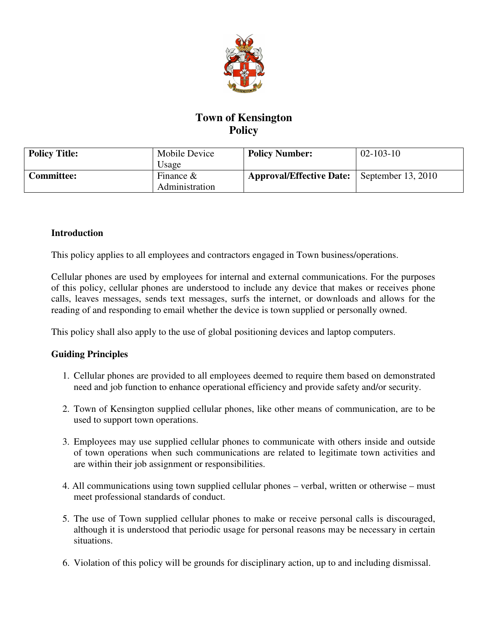

# **Town of Kensington Policy**

| <b>Policy Title:</b> | Mobile Device<br>Usage         | <b>Policy Number:</b>           | $02 - 103 - 10$      |
|----------------------|--------------------------------|---------------------------------|----------------------|
| <b>Committee:</b>    | Finance $\&$<br>Administration | <b>Approval/Effective Date:</b> | September $13, 2010$ |

#### **Introduction**

This policy applies to all employees and contractors engaged in Town business/operations.

Cellular phones are used by employees for internal and external communications. For the purposes of this policy, cellular phones are understood to include any device that makes or receives phone calls, leaves messages, sends text messages, surfs the internet, or downloads and allows for the reading of and responding to email whether the device is town supplied or personally owned.

This policy shall also apply to the use of global positioning devices and laptop computers.

# **Guiding Principles**

- 1. Cellular phones are provided to all employees deemed to require them based on demonstrated need and job function to enhance operational efficiency and provide safety and/or security.
- 2. Town of Kensington supplied cellular phones, like other means of communication, are to be used to support town operations.
- 3. Employees may use supplied cellular phones to communicate with others inside and outside of town operations when such communications are related to legitimate town activities and are within their job assignment or responsibilities.
- 4. All communications using town supplied cellular phones verbal, written or otherwise must meet professional standards of conduct.
- 5. The use of Town supplied cellular phones to make or receive personal calls is discouraged, although it is understood that periodic usage for personal reasons may be necessary in certain situations.
- 6. Violation of this policy will be grounds for disciplinary action, up to and including dismissal.